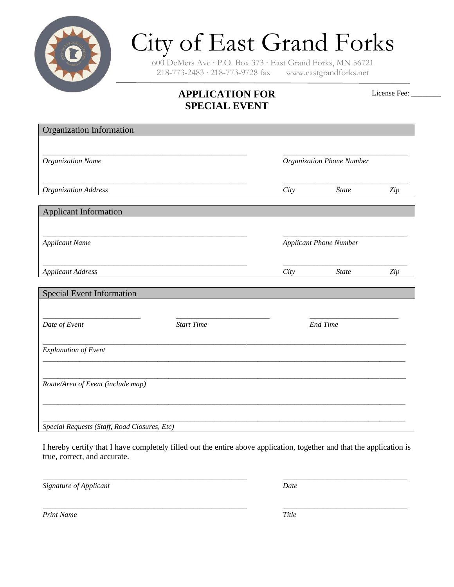

# City of East Grand Forks

600 DeMers Ave ∙ P.O. Box 373 ∙ East Grand Forks, MN 56721 218-773-2483 ∙ 218-773-9728 fax www.eastgrandforks.net

# **APPLICATION FOR SPECIAL EVENT**

License Fee: \_\_\_\_\_\_\_\_

| Organization Information                     |                   |                           |                               |     |  |
|----------------------------------------------|-------------------|---------------------------|-------------------------------|-----|--|
| <b>Organization Name</b>                     |                   | Organization Phone Number |                               |     |  |
| Organization Address                         |                   | City                      | <b>State</b>                  | Zip |  |
| <b>Applicant Information</b>                 |                   |                           |                               |     |  |
| <b>Applicant Name</b>                        |                   |                           | <b>Applicant Phone Number</b> |     |  |
| <b>Applicant Address</b>                     |                   | City                      | <b>State</b>                  | Zip |  |
| <b>Special Event Information</b>             |                   |                           |                               |     |  |
| Date of Event                                | <b>Start Time</b> | <b>End Time</b>           |                               |     |  |
| <b>Explanation of Event</b>                  |                   |                           |                               |     |  |
| Route/Area of Event (include map)            |                   |                           |                               |     |  |
| Special Requests (Staff, Road Closures, Etc) |                   |                           |                               |     |  |

I hereby certify that I have completely filled out the entire above application, together and that the application is true, correct, and accurate.

\_\_\_\_\_\_\_\_\_\_\_\_\_\_\_\_\_\_\_\_\_\_\_\_\_\_\_\_\_\_\_\_\_\_\_\_\_\_\_\_\_\_\_\_\_\_ \_\_\_\_\_\_\_\_\_\_\_\_\_\_\_\_\_\_\_\_\_\_\_\_\_\_\_\_

*Signature of Applicant Date*

\_\_\_\_\_\_\_\_\_\_\_\_\_\_\_\_\_\_\_\_\_\_\_\_\_\_\_\_\_\_\_\_\_\_\_\_\_\_\_\_\_\_\_\_\_\_ \_\_\_\_\_\_\_\_\_\_\_\_\_\_\_\_\_\_\_\_\_\_\_\_\_\_\_\_

*Print Name Title*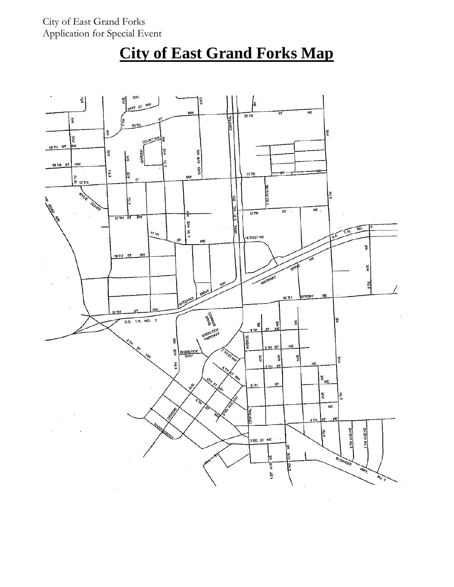# **City of East Grand Forks Map**

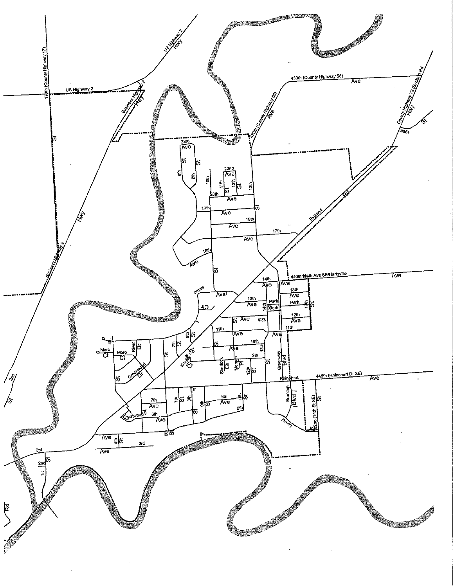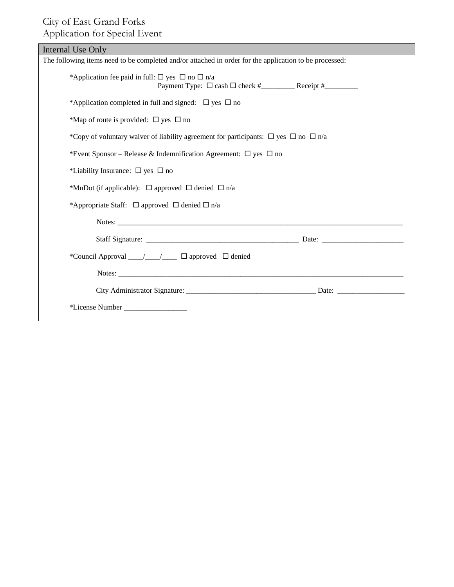### City of East Grand Forks Application for Special Event

| Internal Use Only                                                                                      |  |
|--------------------------------------------------------------------------------------------------------|--|
| The following items need to be completed and/or attached in order for the application to be processed: |  |
| *Application fee paid in full: $\Box$ yes $\Box$ no $\Box$ n/a                                         |  |
| *Application completed in full and signed: $\Box$ yes $\Box$ no                                        |  |
| *Map of route is provided: $\square$ yes $\square$ no                                                  |  |
| *Copy of voluntary waiver of liability agreement for participants: $\Box$ yes $\Box$ no $\Box$ n/a     |  |
| *Event Sponsor – Release & Indemnification Agreement: $\Box$ yes $\Box$ no                             |  |
| *Liability Insurance: $\Box$ yes $\Box$ no                                                             |  |
| *MnDot (if applicable): $\Box$ approved $\Box$ denied $\Box$ n/a                                       |  |
| *Appropriate Staff: $\Box$ approved $\Box$ denied $\Box$ n/a                                           |  |
|                                                                                                        |  |
|                                                                                                        |  |
| *Council Approval ___/___/___ □ approved □ denied                                                      |  |
|                                                                                                        |  |
|                                                                                                        |  |
|                                                                                                        |  |
|                                                                                                        |  |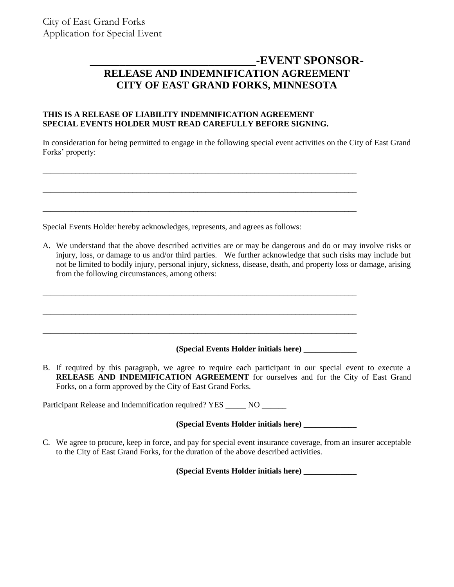## **\_\_\_\_\_\_\_\_\_\_\_\_\_\_\_\_\_\_\_\_\_\_\_\_\_\_\_\_-EVENT SPONSOR-RELEASE AND INDEMNIFICATION AGREEMENT CITY OF EAST GRAND FORKS, MINNESOTA**

#### **THIS IS A RELEASE OF LIABILITY INDEMNIFICATION AGREEMENT SPECIAL EVENTS HOLDER MUST READ CAREFULLY BEFORE SIGNING.**

\_\_\_\_\_\_\_\_\_\_\_\_\_\_\_\_\_\_\_\_\_\_\_\_\_\_\_\_\_\_\_\_\_\_\_\_\_\_\_\_\_\_\_\_\_\_\_\_\_\_\_\_\_\_\_\_\_\_\_\_\_\_\_\_\_\_\_\_\_\_\_\_\_\_\_\_\_

\_\_\_\_\_\_\_\_\_\_\_\_\_\_\_\_\_\_\_\_\_\_\_\_\_\_\_\_\_\_\_\_\_\_\_\_\_\_\_\_\_\_\_\_\_\_\_\_\_\_\_\_\_\_\_\_\_\_\_\_\_\_\_\_\_\_\_\_\_\_\_\_\_\_\_\_\_

\_\_\_\_\_\_\_\_\_\_\_\_\_\_\_\_\_\_\_\_\_\_\_\_\_\_\_\_\_\_\_\_\_\_\_\_\_\_\_\_\_\_\_\_\_\_\_\_\_\_\_\_\_\_\_\_\_\_\_\_\_\_\_\_\_\_\_\_\_\_\_\_\_\_\_\_\_

\_\_\_\_\_\_\_\_\_\_\_\_\_\_\_\_\_\_\_\_\_\_\_\_\_\_\_\_\_\_\_\_\_\_\_\_\_\_\_\_\_\_\_\_\_\_\_\_\_\_\_\_\_\_\_\_\_\_\_\_\_\_\_\_\_\_\_\_\_\_\_\_\_\_\_\_\_

\_\_\_\_\_\_\_\_\_\_\_\_\_\_\_\_\_\_\_\_\_\_\_\_\_\_\_\_\_\_\_\_\_\_\_\_\_\_\_\_\_\_\_\_\_\_\_\_\_\_\_\_\_\_\_\_\_\_\_\_\_\_\_\_\_\_\_\_\_\_\_\_\_\_\_\_\_

\_\_\_\_\_\_\_\_\_\_\_\_\_\_\_\_\_\_\_\_\_\_\_\_\_\_\_\_\_\_\_\_\_\_\_\_\_\_\_\_\_\_\_\_\_\_\_\_\_\_\_\_\_\_\_\_\_\_\_\_\_\_\_\_\_\_\_\_\_\_\_\_\_\_\_\_\_

In consideration for being permitted to engage in the following special event activities on the City of East Grand Forks' property:

Special Events Holder hereby acknowledges, represents, and agrees as follows:

A. We understand that the above described activities are or may be dangerous and do or may involve risks or injury, loss, or damage to us and/or third parties. We further acknowledge that such risks may include but not be limited to bodily injury, personal injury, sickness, disease, death, and property loss or damage, arising from the following circumstances, among others:

#### **(Special Events Holder initials here) \_\_\_\_\_\_\_\_\_\_\_\_\_**

B. If required by this paragraph, we agree to require each participant in our special event to execute a **RELEASE AND INDEMIFICATION AGREEMENT** for ourselves and for the City of East Grand Forks, on a form approved by the City of East Grand Forks.

Participant Release and Indemnification required? YES \_\_\_\_\_\_ NO \_\_\_\_\_\_\_

#### **(Special Events Holder initials here) \_\_\_\_\_\_\_\_\_\_\_\_\_**

C. We agree to procure, keep in force, and pay for special event insurance coverage, from an insurer acceptable to the City of East Grand Forks, for the duration of the above described activities.

**(Special Events Holder initials here) \_\_\_\_\_\_\_\_\_\_\_\_\_**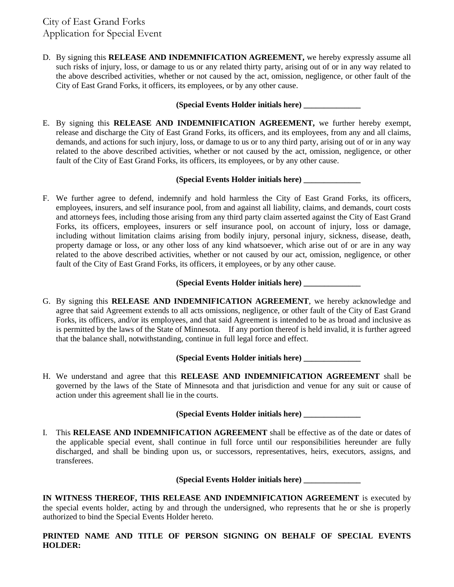D. By signing this **RELEASE AND INDEMNIFICATION AGREEMENT,** we hereby expressly assume all such risks of injury, loss, or damage to us or any related thirty party, arising out of or in any way related to the above described activities, whether or not caused by the act, omission, negligence, or other fault of the City of East Grand Forks, it officers, its employees, or by any other cause.

#### **(Special Events Holder initials here) \_\_\_\_\_\_\_\_\_\_\_\_\_\_**

E. By signing this **RELEASE AND INDEMNIFICATION AGREEMENT,** we further hereby exempt, release and discharge the City of East Grand Forks, its officers, and its employees, from any and all claims, demands, and actions for such injury, loss, or damage to us or to any third party, arising out of or in any way related to the above described activities, whether or not caused by the act, omission, negligence, or other fault of the City of East Grand Forks, its officers, its employees, or by any other cause.

#### **(Special Events Holder initials here) \_\_\_\_\_\_\_\_\_\_\_\_\_\_**

F. We further agree to defend, indemnify and hold harmless the City of East Grand Forks, its officers, employees, insurers, and self insurance pool, from and against all liability, claims, and demands, court costs and attorneys fees, including those arising from any third party claim asserted against the City of East Grand Forks, its officers, employees, insurers or self insurance pool, on account of injury, loss or damage, including without limitation claims arising from bodily injury, personal injury, sickness, disease, death, property damage or loss, or any other loss of any kind whatsoever, which arise out of or are in any way related to the above described activities, whether or not caused by our act, omission, negligence, or other fault of the City of East Grand Forks, its officers, it employees, or by any other cause.

#### **(Special Events Holder initials here) \_\_\_\_\_\_\_\_\_\_\_\_\_\_**

G. By signing this **RELEASE AND INDEMNIFICATION AGREEMENT**, we hereby acknowledge and agree that said Agreement extends to all acts omissions, negligence, or other fault of the City of East Grand Forks, its officers, and/or its employees, and that said Agreement is intended to be as broad and inclusive as is permitted by the laws of the State of Minnesota. If any portion thereof is held invalid, it is further agreed that the balance shall, notwithstanding, continue in full legal force and effect.

#### **(Special Events Holder initials here) \_\_\_\_\_\_\_\_\_\_\_\_\_\_**

H. We understand and agree that this **RELEASE AND INDEMNIFICATION AGREEMENT** shall be governed by the laws of the State of Minnesota and that jurisdiction and venue for any suit or cause of action under this agreement shall lie in the courts.

#### **(Special Events Holder initials here) \_\_\_\_\_\_\_\_\_\_\_\_\_\_**

I. This **RELEASE AND INDEMNIFICATION AGREEMENT** shall be effective as of the date or dates of the applicable special event, shall continue in full force until our responsibilities hereunder are fully discharged, and shall be binding upon us, or successors, representatives, heirs, executors, assigns, and transferees.

#### **(Special Events Holder initials here) \_\_\_\_\_\_\_\_\_\_\_\_\_\_**

**IN WITNESS THEREOF, THIS RELEASE AND INDEMNIFICATION AGREEMENT** is executed by the special events holder, acting by and through the undersigned, who represents that he or she is properly authorized to bind the Special Events Holder hereto.

**PRINTED NAME AND TITLE OF PERSON SIGNING ON BEHALF OF SPECIAL EVENTS HOLDER:**